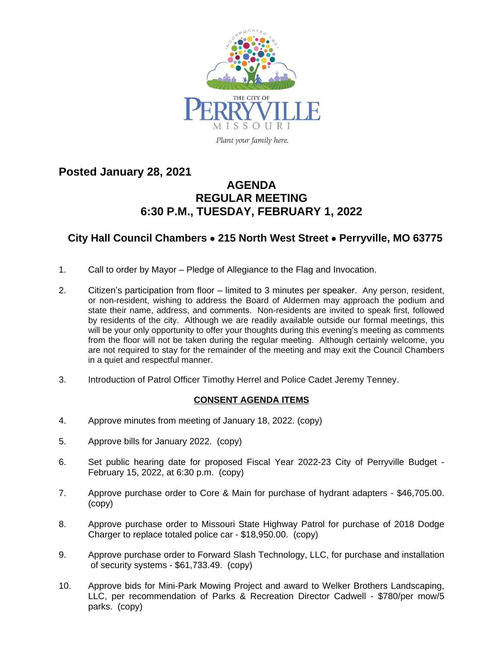

**Posted January 28, 2021**

## **AGENDA REGULAR MEETING 6:30 P.M., TUESDAY, FEBRUARY 1, 2022**

## **City Hall Council Chambers** · **215 North West Street** · **Perryville, MO 63775**

- 1. Call to order by Mayor Pledge of Allegiance to the Flag and Invocation.
- 2. Citizen's participation from floor limited to 3 minutes per speaker. Any person, resident, or non-resident, wishing to address the Board of Aldermen may approach the podium and state their name, address, and comments. Non-residents are invited to speak first, followed by residents of the city. Although we are readily available outside our formal meetings, this will be your only opportunity to offer your thoughts during this evening's meeting as comments from the floor will not be taken during the regular meeting. Although certainly welcome, you are not required to stay for the remainder of the meeting and may exit the Council Chambers in a quiet and respectful manner.
- 3. Introduction of Patrol Officer Timothy Herrel and Police Cadet Jeremy Tenney.

## **CONSENT AGENDA ITEMS**

- 4. Approve minutes from meeting of January 18, 2022. (copy)
- 5. Approve bills for January 2022. (copy)
- 6. Set public hearing date for proposed Fiscal Year 2022-23 City of Perryville Budget February 15, 2022, at 6:30 p.m. (copy)
- 7. Approve purchase order to Core & Main for purchase of hydrant adapters \$46,705.00. (copy)
- 8. Approve purchase order to Missouri State Highway Patrol for purchase of 2018 Dodge Charger to replace totaled police car - \$18,950.00. (copy)
- 9. Approve purchase order to Forward Slash Technology, LLC, for purchase and installation of security systems - \$61,733.49. (copy)
- 10. Approve bids for Mini-Park Mowing Project and award to Welker Brothers Landscaping, LLC, per recommendation of Parks & Recreation Director Cadwell - \$780/per mow/5 parks. (copy)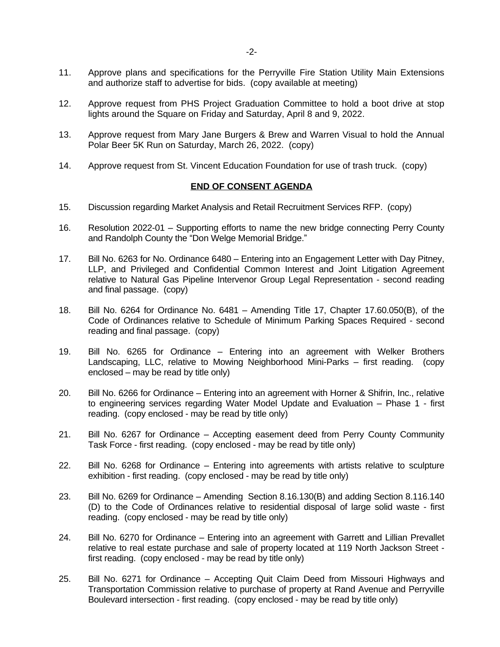- 11. Approve plans and specifications for the Perryville Fire Station Utility Main Extensions and authorize staff to advertise for bids. (copy available at meeting)
- 12. Approve request from PHS Project Graduation Committee to hold a boot drive at stop lights around the Square on Friday and Saturday, April 8 and 9, 2022.
- 13. Approve request from Mary Jane Burgers & Brew and Warren Visual to hold the Annual Polar Beer 5K Run on Saturday, March 26, 2022. (copy)
- 14. Approve request from St. Vincent Education Foundation for use of trash truck. (copy)

## **END OF CONSENT AGENDA**

- 15. Discussion regarding Market Analysis and Retail Recruitment Services RFP. (copy)
- 16. Resolution 2022-01 Supporting efforts to name the new bridge connecting Perry County and Randolph County the "Don Welge Memorial Bridge."
- 17. Bill No. 6263 for No. Ordinance 6480 Entering into an Engagement Letter with Day Pitney, LLP, and Privileged and Confidential Common Interest and Joint Litigation Agreement relative to Natural Gas Pipeline Intervenor Group Legal Representation - second reading and final passage. (copy)
- 18. Bill No. 6264 for Ordinance No. 6481 Amending Title 17, Chapter 17.60.050(B), of the Code of Ordinances relative to Schedule of Minimum Parking Spaces Required - second reading and final passage. (copy)
- 19. Bill No. 6265 for Ordinance Entering into an agreement with Welker Brothers Landscaping, LLC, relative to Mowing Neighborhood Mini-Parks – first reading. (copy enclosed – may be read by title only)
- 20. Bill No. 6266 for Ordinance Entering into an agreement with Horner & Shifrin, Inc., relative to engineering services regarding Water Model Update and Evaluation – Phase 1 - first reading. (copy enclosed - may be read by title only)
- 21. Bill No. 6267 for Ordinance Accepting easement deed from Perry County Community Task Force - first reading. (copy enclosed - may be read by title only)
- 22. Bill No. 6268 for Ordinance Entering into agreements with artists relative to sculpture exhibition - first reading. (copy enclosed - may be read by title only)
- 23. Bill No. 6269 for Ordinance Amending Section 8.16.130(B) and adding Section 8.116.140 (D) to the Code of Ordinances relative to residential disposal of large solid waste - first reading. (copy enclosed - may be read by title only)
- 24. Bill No. 6270 for Ordinance Entering into an agreement with Garrett and Lillian Prevallet relative to real estate purchase and sale of property located at 119 North Jackson Street first reading. (copy enclosed - may be read by title only)
- 25. Bill No. 6271 for Ordinance Accepting Quit Claim Deed from Missouri Highways and Transportation Commission relative to purchase of property at Rand Avenue and Perryville Boulevard intersection - first reading. (copy enclosed - may be read by title only)